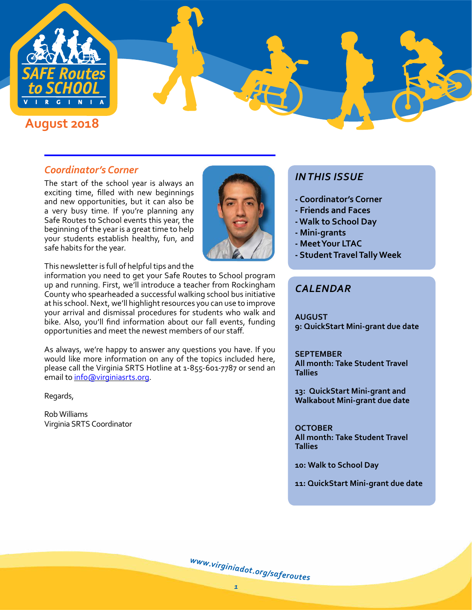

### *Coordinator's Corner*

The start of the school year is always an exciting time, filled with new beginnings and new opportunities, but it can also be a very busy time. If you're planning any Safe Routes to School events this year, the beginning of the year is a great time to help your students establish healthy, fun, and safe habits for the year.



This newsletter is full of helpful tips and the

information you need to get your Safe Routes to School program up and running. First, we'll introduce a teacher from Rockingham County who spearheaded a successful walking school bus initiative at his school. Next, we'll highlight resources you can use to improve your arrival and dismissal procedures for students who walk and bike. Also, you'll find information about our fall events, funding opportunities and meet the newest members of our staff.

As always, we're happy to answer any questions you have. If you would like more information on any of the topics included here, please call the Virginia SRTS Hotline at 1-855-601-7787 or send an email to [info@virginiasrts.org.](mailto:info%40virginiasrts.org?subject=)

Regards,

Rob Williams Virginia SRTS Coordinator

# *IN THIS ISSUE*

- **Coordinator's Corner**
- **Friends and Faces**
- **Walk to School Day**
- **Mini-grants**
- **Meet Your LTAC**
- **Student Travel Tally Week**

## *CALENDAR*

**AUGUST 9: QuickStart Mini-grant due date**

#### **SEPTEMBER**

**All month: Take Student Travel Tallies**

**13: QuickStart Mini-grant and Walkabout Mini-grant due date**

#### **OCTOBER**

**All month: Take Student Travel Tallies**

**10: Walk to School Day**

**11: QuickStart Mini-grant due date**

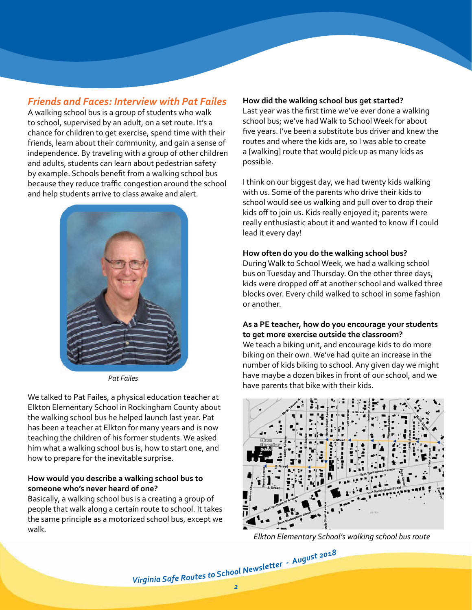## *Friends and Faces: Interview with Pat Failes*

A walking school bus is a group of students who walk to school, supervised by an adult, on a set route. It's a chance for children to get exercise, spend time with their friends, learn about their community, and gain a sense of independence. By traveling with a group of other children and adults, students can learn about pedestrian safety by example. Schools benefit from a walking school bus because they reduce traffic congestion around the school and help students arrive to class awake and alert.



*Pat Failes*

We talked to Pat Failes, a physical education teacher at Elkton Elementary School in Rockingham County about the walking school bus he helped launch last year. Pat has been a teacher at Elkton for many years and is now teaching the children of his former students. We asked him what a walking school bus is, how to start one, and how to prepare for the inevitable surprise.

### **How would you describe a walking school bus to someone who's never heard of one?**

Basically, a walking school bus is a creating a group of people that walk along a certain route to school. It takes the same principle as a motorized school bus, except we walk.

#### **How did the walking school bus get started?**

Last year was the first time we've ever done a walking school bus; we've had Walk to School Week for about five years. I've been a substitute bus driver and knew the routes and where the kids are, so I was able to create a [walking] route that would pick up as many kids as possible.

I think on our biggest day, we had twenty kids walking with us. Some of the parents who drive their kids to school would see us walking and pull over to drop their kids off to join us. Kids really enjoyed it; parents were really enthusiastic about it and wanted to know if I could lead it every day!

#### **How often do you do the walking school bus?**

During Walk to School Week, we had a walking school bus on Tuesday and Thursday. On the other three days, kids were dropped off at another school and walked three blocks over. Every child walked to school in some fashion or another.

#### **As a PE teacher, how do you encourage your students to get more exercise outside the classroom?**

We teach a biking unit, and encourage kids to do more biking on their own. We've had quite an increase in the number of kids biking to school. Any given day we might have maybe a dozen bikes in front of our school, and we have parents that bike with their kids.



*Elkton Elementary School's walking school bus route*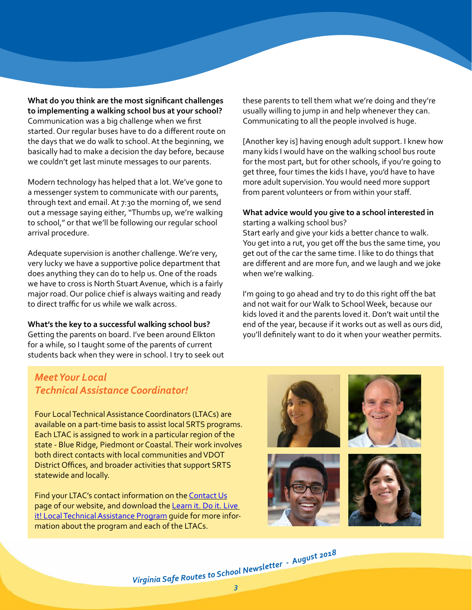**What do you think are the most significant challenges to implementing a walking school bus at your school?** Communication was a big challenge when we first started. Our regular buses have to do a different route on the days that we do walk to school. At the beginning, we basically had to make a decision the day before, because we couldn't get last minute messages to our parents.

Modern technology has helped that a lot. We've gone to a messenger system to communicate with our parents, through text and email. At 7:30 the morning of, we send out a message saying either, "Thumbs up, we're walking to school," or that we'll be following our regular school arrival procedure.

Adequate supervision is another challenge. We're very, very lucky we have a supportive police department that does anything they can do to help us. One of the roads we have to cross is North Stuart Avenue, which is a fairly major road. Our police chief is always waiting and ready to direct traffic for us while we walk across.

**What's the key to a successful walking school bus?** Getting the parents on board. I've been around Elkton for a while, so I taught some of the parents of current

students back when they were in school. I try to seek out

these parents to tell them what we're doing and they're usually willing to jump in and help whenever they can. Communicating to all the people involved is huge.

[Another key is] having enough adult support. I knew how many kids I would have on the walking school bus route for the most part, but for other schools, if you're going to get three, four times the kids I have, you'd have to have more adult supervision. You would need more support from parent volunteers or from within your staff.

#### **What advice would you give to a school interested in**  starting a walking school bus?

Start early and give your kids a better chance to walk. You get into a rut, you get off the bus the same time, you get out of the car the same time. I like to do things that are different and are more fun, and we laugh and we joke when we're walking.

I'm going to go ahead and try to do this right off the bat and not wait for our Walk to School Week, because our kids loved it and the parents loved it. Don't wait until the end of the year, because if it works out as well as ours did, you'll definitely want to do it when your weather permits.

# *Meet Your Local Technical Assistance Coordinator!*

Four Local Technical Assistance Coordinators (LTACs) are available on a part-time basis to assist local SRTS programs. Each LTAC is assigned to work in a particular region of the state - Blue Ridge, Piedmont or Coastal. Their work involves both direct contacts with local communities and VDOT District Offices, and broader activities that support SRTS statewide and locally.

Find your LTAC's contact information on the [Contact Us](http://http://www.virginiadot.org/programs/srsm_contact_us.asp) page of our website, and download the [Learn it. Do it. Live](http://http://www.virginiadot.org/programs/resources/safe_routes/2016-2017/Resources/LDL_LTAC_Downloadable_2018.pdf)  [it! Local Technical Assistance Program](http://http://www.virginiadot.org/programs/resources/safe_routes/2016-2017/Resources/LDL_LTAC_Downloadable_2018.pdf) guide for more information about the program and each of the LTACs.

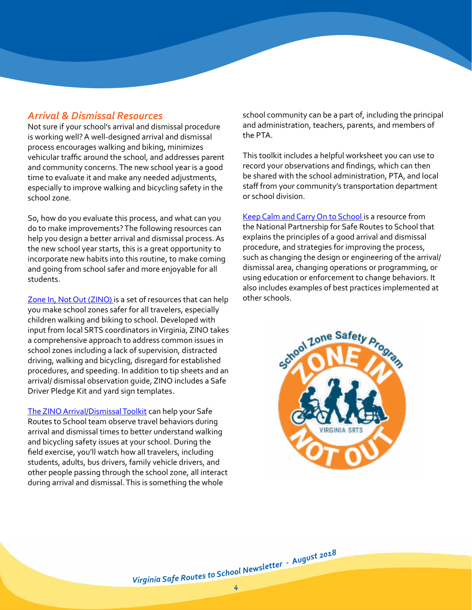### *Arrival & Dismissal Resources*

Not sure if your school's arrival and dismissal procedure is working well? A well-designed arrival and dismissal process encourages walking and biking, minimizes vehicular traffic around the school, and addresses parent and community concerns. The new school year is a good time to evaluate it and make any needed adjustments, especially to improve walking and bicycling safety in the school zone.

So, how do you evaluate this process, and what can you do to make improvements? The following resources can help you design a better arrival and dismissal process. As the new school year starts, this is a great opportunity to incorporate new habits into this routine, to make coming and going from school safer and more enjoyable for all students.

[Zone In, Not Out \(ZINO\)](http://ZINO_Arrival_and_Dismissal_in_the_Zone) is a set of resources that can help you make school zones safer for all travelers, especially children walking and biking to school. Developed with input from local SRTS coordinators in Virginia, ZINO takes a comprehensive approach to address common issues in school zones including a lack of supervision, distracted driving, walking and bicycling, disregard for established procedures, and speeding. In addition to tip sheets and an arrival/ dismissal observation guide, ZINO includes a Safe Driver Pledge Kit and yard sign templates.

[The ZINO Arrival/Dismissal Toolkit](http://https://www.dropbox.com/s/8wzto0q97qralps/VDOT_LDL_Observing Dismissal Field Guide.pdf?dl=0) can help your Safe Routes to School team observe travel behaviors during arrival and dismissal times to better understand walking and bicycling safety issues at your school. During the field exercise, you'll watch how all travelers, including students, adults, bus drivers, family vehicle drivers, and other people passing through the school zone, all interact during arrival and dismissal. This is something the whole

school community can be a part of, including the principal and administration, teachers, parents, and members of the PTA.

This toolkit includes a helpful worksheet you can use to record your observations and findings, which can then be shared with the school administration, PTA, and local staff from your community's transportation department or school division.

[Keep Calm and Carry On to School i](http://improving_arrival_and_dismissal_for_walking_and_biking_1)s a resource from the National Partnership for Safe Routes to School that explains the principles of a good arrival and dismissal procedure, and strategies for improving the process, such as changing the design or engineering of the arrival/ dismissal area, changing operations or programming, or using education or enforcement to change behaviors. It also includes examples of best practices implemented at other schools.

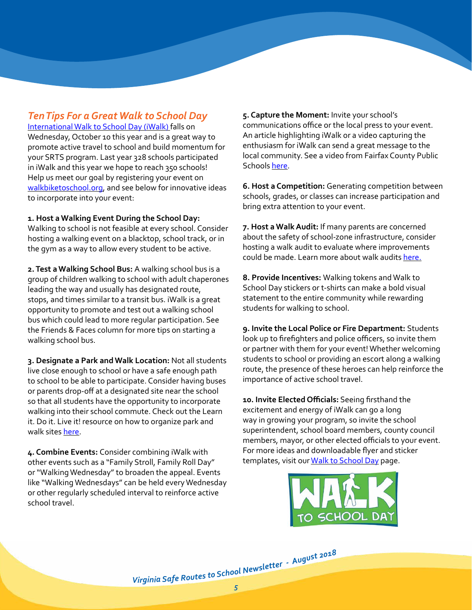## *Ten Tips For a Great Walk to School Day*

[International Walk to School Day \(iWalk\)](http://http://www.walkbiketoschool.org/go) falls on Wednesday, October 10 this year and is a great way to promote active travel to school and build momentum for your SRTS program. Last year 328 schools participated in iWalk and this year we hope to reach 350 schools! Help us meet our goal by registering your event on [walkbiketoschool.org,](http://walkbiketoschool.org) and see below for innovative ideas to incorporate into your event:

**1. Host a Walking Event During the School Day:**  Walking to school is not feasible at every school. Consider hosting a walking event on a blacktop, school track, or in the gym as a way to allow every student to be active.

**2. Test a Walking School Bus:** A walking school bus is a group of children walking to school with adult chaperones leading the way and usually has designated route, stops, and times similar to a transit bus. iWalk is a great opportunity to promote and test out a walking school bus which could lead to more regular participation. See the Friends & Faces column for more tips on starting a walking school bus.

**3. Designate a Park and Walk Location:** Not all students live close enough to school or have a safe enough path to school to be able to participate. Consider having buses or parents drop-off at a designated site near the school so that all students have the opportunity to incorporate walking into their school commute. Check out the Learn it. Do it. Live it! resource on how to organize park and walk sites [here](http://VDOT_LDL_How_ParkWalk_Sites_120815).

**4. Combine Events:** Consider combining iWalk with other events such as a "Family Stroll, Family Roll Day" or "Walking Wednesday" to broaden the appeal. Events like "Walking Wednesdays" can be held every Wednesday or other regularly scheduled interval to reinforce active school travel.

**5. Capture the Moment:** Invite your school's communications office or the local press to your event. An article highlighting iWalk or a video capturing the enthusiasm for iWalk can send a great message to the local community. See a video from Fairfax County Public Schools [here](http://https://www.youtube.com/watch?v=cyrHEhcE7Bg).

**6. Host a Competition:** Generating competition between schools, grades, or classes can increase participation and bring extra attention to your event.

**7. Host a Walk Audit:** If many parents are concerned about the safety of school-zone infrastructure, consider hosting a walk audit to evaluate where improvements could be made. Learn more about walk audits [here.](http://http://www.virginiadot.org/programs/resources/safeRouteResources/all/VDOT_LDL_Walk-Bike_Audit_120815.pdf?dl=0)

**8. Provide Incentives:** Walking tokens and Walk to School Day stickers or t-shirts can make a bold visual statement to the entire community while rewarding students for walking to school.

**9. Invite the Local Police or Fire Department:** Students look up to firefighters and police officers, so invite them or partner with them for your event! Whether welcoming students to school or providing an escort along a walking route, the presence of these heroes can help reinforce the importance of active school travel.

**10. Invite Elected Officials:** Seeing firsthand the excitement and energy of iWalk can go a long way in growing your program, so invite the school superintendent, school board members, county council members, mayor, or other elected officials to your event. For more ideas and downloadable flyer and sticker templates, visit our [Walk to School Day](http://srsm_srts_international_walk_to_school_day) page.

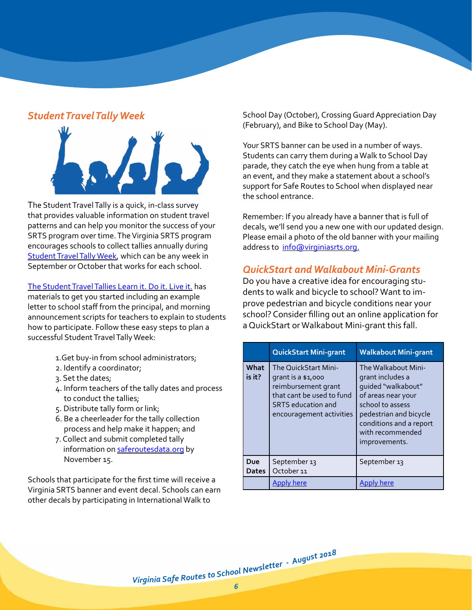## *Student Travel Tally Week*



The Student Travel Tally is a quick, in-class survey that provides valuable information on student travel patterns and can help you monitor the success of your SRTS program over time. The Virginia SRTS program encourages schools to collect tallies annually during [Student Travel Tally Week](http://http://www.virginiadot.org/programs/srsm_student_travel_tally_week.asp), which can be any week in September or October that works for each school.

[The Student Travel Tallies Learn it. Do it. Live it.](http://http://www.virginiadot.org/programs/resources/safeRouteResources/all/VDOT_LDL_STTW_v2.pdf?dl=0) has materials to get you started including an example letter to school staff from the principal, and morning announcement scripts for teachers to explain to students how to participate. Follow these easy steps to plan a successful Student Travel Tally Week:

- 1.Get buy-in from school administrators;
- 2. Identify a coordinator;
- 3. Set the dates;
- 4. Inform teachers of the tally dates and process to conduct the tallies;
- 5. Distribute tally form or link;
- 6. Be a cheerleader for the tally collection process and help make it happen; and
- 7. Collect and submit completed tally information on [saferoutesdata.org](http://saferoutesdata.org/) by November 15.

Schools that participate for the first time will receive a Virginia SRTS banner and event decal. Schools can earn other decals by participating in International Walk to

School Day (October), Crossing Guard Appreciation Day (February), and Bike to School Day (May).

Your SRTS banner can be used in a number of ways. Students can carry them during a Walk to School Day parade, they catch the eye when hung from a table at an event, and they make a statement about a school's support for Safe Routes to School when displayed near the school entrance.

Remember: If you already have a banner that is full of decals, we'll send you a new one with our updated design. Please email a photo of the old banner with your mailing address to [info@virginiasrts.org.](mailto:info%40virginiasrts.org.?subject=)

# *QuickStart and Walkabout Mini-Grants*

Do you have a creative idea for encouraging students to walk and bicycle to school? Want to improve pedestrian and bicycle conditions near your school? Consider filling out an online application for a QuickStart or Walkabout Mini-grant this fall.

|                     | <b>QuickStart Mini-grant</b>                                                                                                                            | <b>Walkabout Mini-grant</b>                                                                                                                                                                       |
|---------------------|---------------------------------------------------------------------------------------------------------------------------------------------------------|---------------------------------------------------------------------------------------------------------------------------------------------------------------------------------------------------|
| What<br>is it?      | The QuickStart Mini-<br>grant is a \$1,000<br>reimbursement grant<br>that cant be used to fund<br><b>SRTS</b> education and<br>encouragement activities | The Walkabout Mini-<br>grant includes a<br>quided "walkabout"<br>of areas near your<br>school to assess<br>pedestrian and bicycle<br>conditions and a report<br>with recommended<br>improvements. |
| Due<br><b>Dates</b> | September 13<br>October <sub>11</sub>                                                                                                                   | September 13                                                                                                                                                                                      |
|                     | here                                                                                                                                                    |                                                                                                                                                                                                   |